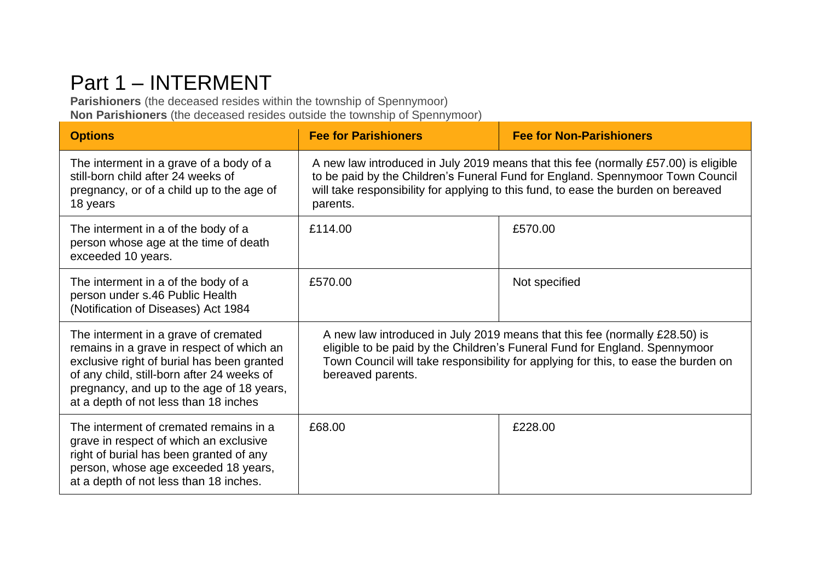## Part 1 – INTERMENT

**Parishioners** (the deceased resides within the township of Spennymoor) **Non Parishioners** (the deceased resides outside the township of Spennymoor)

| <b>Options</b>                                                                                                                                                                                                                                                      | <b>Fee for Parishioners</b>                                                                                                                                                                                                                                             | <b>Fee for Non-Parishioners</b> |
|---------------------------------------------------------------------------------------------------------------------------------------------------------------------------------------------------------------------------------------------------------------------|-------------------------------------------------------------------------------------------------------------------------------------------------------------------------------------------------------------------------------------------------------------------------|---------------------------------|
| The interment in a grave of a body of a<br>still-born child after 24 weeks of<br>pregnancy, or of a child up to the age of<br>18 years                                                                                                                              | A new law introduced in July 2019 means that this fee (normally £57.00) is eligible<br>to be paid by the Children's Funeral Fund for England. Spennymoor Town Council<br>will take responsibility for applying to this fund, to ease the burden on bereaved<br>parents. |                                 |
| The interment in a of the body of a<br>person whose age at the time of death<br>exceeded 10 years.                                                                                                                                                                  | £114.00                                                                                                                                                                                                                                                                 | £570.00                         |
| The interment in a of the body of a<br>person under s.46 Public Health<br>(Notification of Diseases) Act 1984                                                                                                                                                       | £570.00                                                                                                                                                                                                                                                                 | Not specified                   |
| The interment in a grave of cremated<br>remains in a grave in respect of which an<br>exclusive right of burial has been granted<br>of any child, still-born after 24 weeks of<br>pregnancy, and up to the age of 18 years,<br>at a depth of not less than 18 inches | A new law introduced in July 2019 means that this fee (normally £28.50) is<br>eligible to be paid by the Children's Funeral Fund for England. Spennymoor<br>Town Council will take responsibility for applying for this, to ease the burden on<br>bereaved parents.     |                                 |
| The interment of cremated remains in a<br>grave in respect of which an exclusive<br>right of burial has been granted of any<br>person, whose age exceeded 18 years,<br>at a depth of not less than 18 inches.                                                       | £68.00                                                                                                                                                                                                                                                                  | £228.00                         |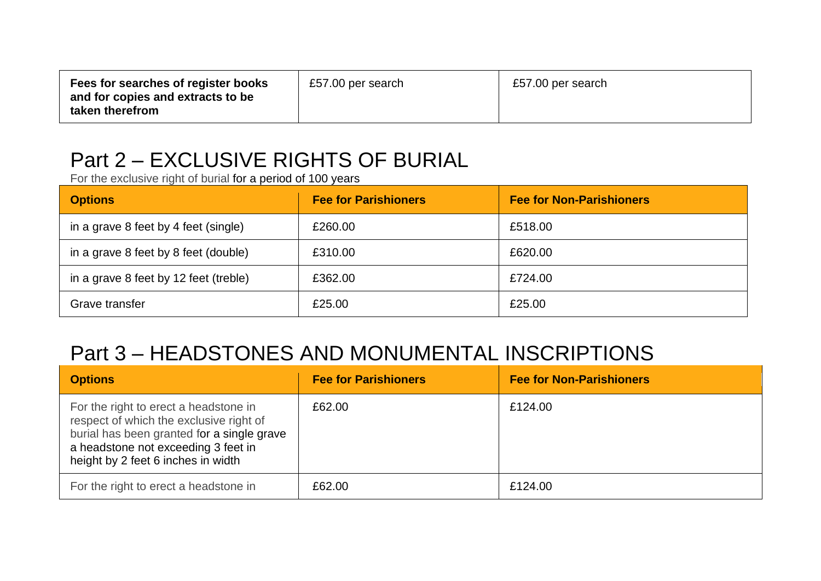| Fees for searches of register books<br>and for copies and extracts to be<br>taken therefrom | £57.00 per search | £57.00 per search |
|---------------------------------------------------------------------------------------------|-------------------|-------------------|
|---------------------------------------------------------------------------------------------|-------------------|-------------------|

## Part 2 – EXCLUSIVE RIGHTS OF BURIAL

For the exclusive right of burial for a period of 100 years

| <b>Options</b>                        | <b>Fee for Parishioners</b> | <b>Fee for Non-Parishioners</b> |
|---------------------------------------|-----------------------------|---------------------------------|
| in a grave 8 feet by 4 feet (single)  | £260.00                     | £518.00                         |
| in a grave 8 feet by 8 feet (double)  | £310.00                     | £620.00                         |
| in a grave 8 feet by 12 feet (treble) | £362.00                     | £724.00                         |
| Grave transfer                        | £25.00                      | £25.00                          |

## Part 3 – HEADSTONES AND MONUMENTAL INSCRIPTIONS

| <b>Options</b>                                                                                                                                                                                              | <b>Fee for Parishioners</b> | <b>Fee for Non-Parishioners</b> |
|-------------------------------------------------------------------------------------------------------------------------------------------------------------------------------------------------------------|-----------------------------|---------------------------------|
| For the right to erect a headstone in<br>respect of which the exclusive right of<br>burial has been granted for a single grave<br>a headstone not exceeding 3 feet in<br>height by 2 feet 6 inches in width | £62.00                      | £124.00                         |
| For the right to erect a headstone in                                                                                                                                                                       | £62.00                      | £124.00                         |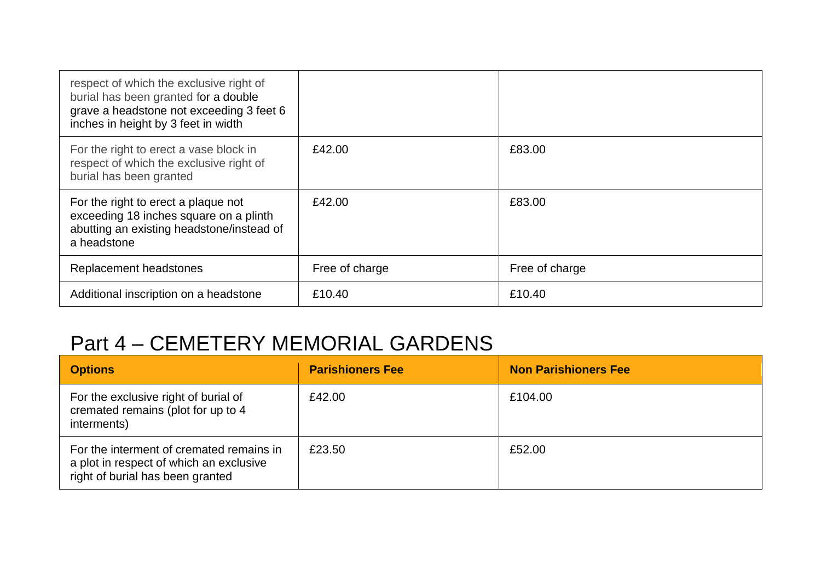| respect of which the exclusive right of<br>burial has been granted for a double<br>grave a headstone not exceeding 3 feet 6<br>inches in height by 3 feet in width |                |                |
|--------------------------------------------------------------------------------------------------------------------------------------------------------------------|----------------|----------------|
| For the right to erect a vase block in<br>respect of which the exclusive right of<br>burial has been granted                                                       | £42.00         | £83.00         |
| For the right to erect a plaque not<br>exceeding 18 inches square on a plinth<br>abutting an existing headstone/instead of<br>a headstone                          | £42.00         | £83.00         |
| Replacement headstones                                                                                                                                             | Free of charge | Free of charge |
| Additional inscription on a headstone                                                                                                                              | £10.40         | £10.40         |

## Part 4 – CEMETERY MEMORIAL GARDENS

| <b>Options</b>                                                                                                          | <b>Parishioners Fee</b> | <b>Non Parishioners Fee</b> |
|-------------------------------------------------------------------------------------------------------------------------|-------------------------|-----------------------------|
| For the exclusive right of burial of<br>cremated remains (plot for up to 4<br>interments)                               | £42.00                  | £104.00                     |
| For the interment of cremated remains in<br>a plot in respect of which an exclusive<br>right of burial has been granted | £23.50                  | £52.00                      |